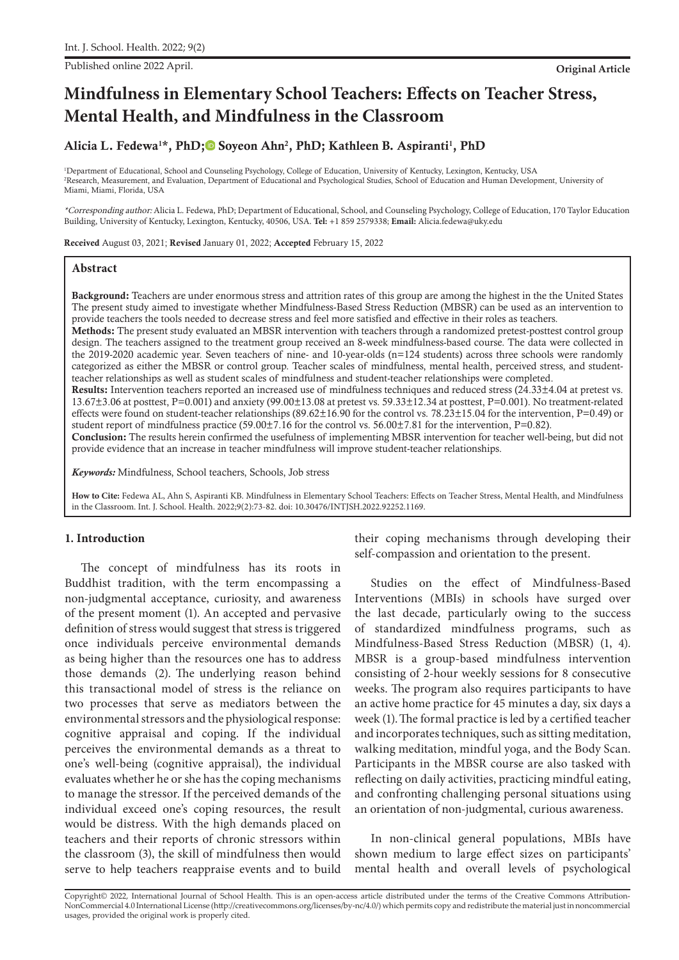Published online 2022 April. **Original Article**

# **Mindfulness in Elementary School Teachers: Effects on Teacher Stress, Mental Health, and Mindfulness in the Classroom**

# Alicia L. Fedewa<sup>1\*</sup>, PhD;<sup>1</sup> Soyeon Ahn<sup>2</sup>, PhD[;](https://orcid.org/0000-0001-8891-4736) Kathleen B. Aspiranti<sup>1</sup>, PhD

1 Department of Educational, School and Counseling Psychology, College of Education, University of Kentucky, Lexington, Kentucky, USA 2 Research, Measurement, and Evaluation, Department of Educational and Psychological Studies, School of Education and Human Development, University of Miami, Miami, Florida, USA

\*Corresponding author: Alicia L. Fedewa, PhD; Department of Educational, School, and Counseling Psychology, College of Education, 170 Taylor Education Building, University of Kentucky, Lexington, Kentucky, 40506, USA. **Tel:** +1 859 2579338; **Email:** Alicia.fedewa@uky.edu

Received August 03, 2021; Revised January 01, 2022; Accepted February 15, 2022

#### **Abstract**

Background: Teachers are under enormous stress and attrition rates of this group are among the highest in the the United States The present study aimed to investigate whether Mindfulness-Based Stress Reduction (MBSR) can be used as an intervention to provide teachers the tools needed to decrease stress and feel more satisfied and effective in their roles as teachers.

Methods: The present study evaluated an MBSR intervention with teachers through a randomized pretest-posttest control group design. The teachers assigned to the treatment group received an 8-week mindfulness-based course. The data were collected in the 2019-2020 academic year. Seven teachers of nine- and 10-year-olds (n=124 students) across three schools were randomly categorized as either the MBSR or control group. Teacher scales of mindfulness, mental health, perceived stress, and studentteacher relationships as well as student scales of mindfulness and student-teacher relationships were completed.

Results: Intervention teachers reported an increased use of mindfulness techniques and reduced stress (24.33±4.04 at pretest vs. 13.67±3.06 at posttest, P=0.001) and anxiety (99.00±13.08 at pretest vs. 59.33±12.34 at posttest, P=0.001). No treatment-related effects were found on student-teacher relationships (89.62±16.90 for the control vs. 78.23±15.04 for the intervention, P=0.49) or student report of mindfulness practice (59.00 $\pm$ 7.16 for the control vs. 56.00 $\pm$ 7.81 for the intervention, P=0.82).

Conclusion: The results herein confirmed the usefulness of implementing MBSR intervention for teacher well-being, but did not provide evidence that an increase in teacher mindfulness will improve student-teacher relationships.

*Keywords:* Mindfulness, School teachers, Schools, Job stress

**How to Cite:** Fedewa AL, Ahn S, Aspiranti KB. Mindfulness in Elementary School Teachers: Effects on Teacher Stress, Mental Health, and Mindfulness in the Classroom. Int. J. School. Health. 2022;9(2):73-82. doi: 10.30476/INTJSH.2022.92252.1169.

#### **1. Introduction**

The concept of mindfulness has its roots in Buddhist tradition, with the term encompassing a non-judgmental acceptance, curiosity, and awareness of the present moment (1). An accepted and pervasive definition of stress would suggest that stress is triggered once individuals perceive environmental demands as being higher than the resources one has to address those demands (2). The underlying reason behind this transactional model of stress is the reliance on two processes that serve as mediators between the environmental stressors and the physiological response: cognitive appraisal and coping. If the individual perceives the environmental demands as a threat to one's well-being (cognitive appraisal), the individual evaluates whether he or she has the coping mechanisms to manage the stressor. If the perceived demands of the individual exceed one's coping resources, the result would be distress. With the high demands placed on teachers and their reports of chronic stressors within the classroom (3), the skill of mindfulness then would serve to help teachers reappraise events and to build their coping mechanisms through developing their self-compassion and orientation to the present.

Studies on the effect of Mindfulness-Based Interventions (MBIs) in schools have surged over the last decade, particularly owing to the success of standardized mindfulness programs, such as Mindfulness-Based Stress Reduction (MBSR) (1, 4). MBSR is a group-based mindfulness intervention consisting of 2-hour weekly sessions for 8 consecutive weeks. The program also requires participants to have an active home practice for 45 minutes a day, six days a week (1).The formal practice is led by a certified teacher and incorporates techniques, such as sitting meditation, walking meditation, mindful yoga, and the Body Scan. Participants in the MBSR course are also tasked with reflecting on daily activities, practicing mindful eating, and confronting challenging personal situations using an orientation of non-judgmental, curious awareness.

In non-clinical general populations, MBIs have shown medium to large effect sizes on participants' mental health and overall levels of psychological

Copyright© 2022, International Journal of School Health. This is an open-access article distributed under the terms of the Creative Commons Attribution-NonCommercial 4.0 International License (http://creativecommons.org/licenses/by-nc/4.0/) which permits copy and redistribute the material just in noncommercial usages, provided the original work is properly cited.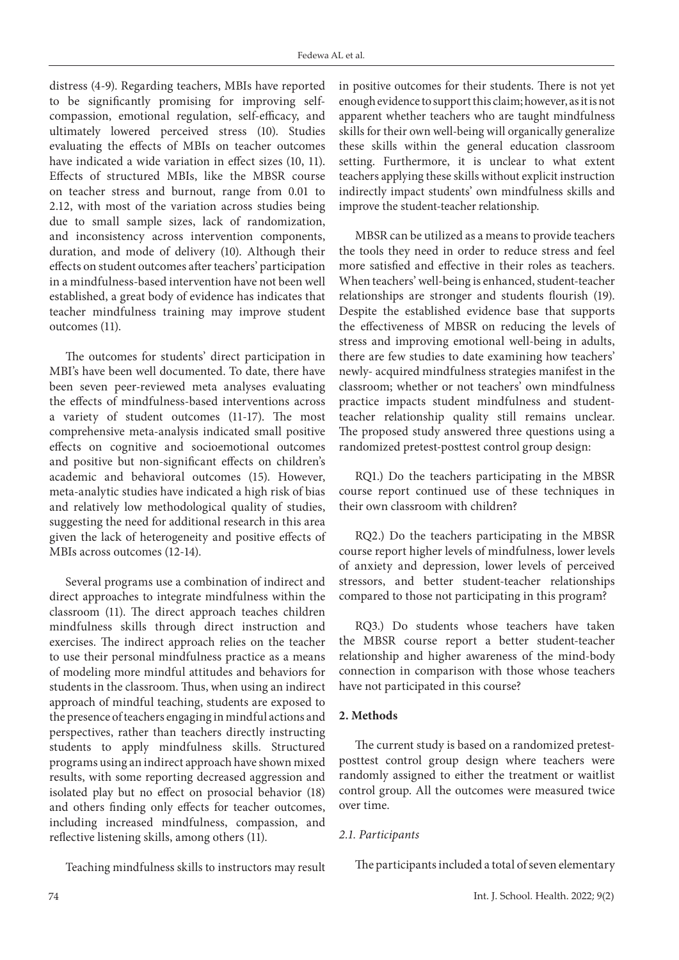distress (4-9). Regarding teachers, MBIs have reported to be significantly promising for improving selfcompassion, emotional regulation, self-efficacy, and ultimately lowered perceived stress (10). Studies evaluating the effects of MBIs on teacher outcomes have indicated a wide variation in effect sizes (10, 11). Effects of structured MBIs, like the MBSR course on teacher stress and burnout, range from 0.01 to 2.12, with most of the variation across studies being due to small sample sizes, lack of randomization, and inconsistency across intervention components, duration, and mode of delivery (10). Although their effects on student outcomes after teachers' participation in a mindfulness-based intervention have not been well established, a great body of evidence has indicates that teacher mindfulness training may improve student outcomes (11).

The outcomes for students' direct participation in MBI's have been well documented. To date, there have been seven peer-reviewed meta analyses evaluating the effects of mindfulness-based interventions across a variety of student outcomes (11-17). The most comprehensive meta-analysis indicated small positive effects on cognitive and socioemotional outcomes and positive but non-significant effects on children's academic and behavioral outcomes (15). However, meta-analytic studies have indicated a high risk of bias and relatively low methodological quality of studies, suggesting the need for additional research in this area given the lack of heterogeneity and positive effects of MBIs across outcomes (12-14).

Several programs use a combination of indirect and direct approaches to integrate mindfulness within the classroom (11). The direct approach teaches children mindfulness skills through direct instruction and exercises. The indirect approach relies on the teacher to use their personal mindfulness practice as a means of modeling more mindful attitudes and behaviors for students in the classroom. Thus, when using an indirect approach of mindful teaching, students are exposed to the presence of teachers engaging in mindful actions and perspectives, rather than teachers directly instructing students to apply mindfulness skills. Structured programs using an indirect approach have shown mixed results, with some reporting decreased aggression and isolated play but no effect on prosocial behavior (18) and others finding only effects for teacher outcomes, including increased mindfulness, compassion, and reflective listening skills, among others (11).

Teaching mindfulness skills to instructors may result

in positive outcomes for their students. There is not yet enough evidence to support this claim; however, as it is not apparent whether teachers who are taught mindfulness skills for their own well-being will organically generalize these skills within the general education classroom setting. Furthermore, it is unclear to what extent teachers applying these skills without explicit instruction indirectly impact students' own mindfulness skills and improve the student-teacher relationship.

MBSR can be utilized as a means to provide teachers the tools they need in order to reduce stress and feel more satisfied and effective in their roles as teachers. When teachers' well-being is enhanced, student-teacher relationships are stronger and students flourish (19). Despite the established evidence base that supports the effectiveness of MBSR on reducing the levels of stress and improving emotional well-being in adults, there are few studies to date examining how teachers' newly- acquired mindfulness strategies manifest in the classroom; whether or not teachers' own mindfulness practice impacts student mindfulness and studentteacher relationship quality still remains unclear. The proposed study answered three questions using a randomized pretest-posttest control group design:

RQ1.) Do the teachers participating in the MBSR course report continued use of these techniques in their own classroom with children?

RQ2.) Do the teachers participating in the MBSR course report higher levels of mindfulness, lower levels of anxiety and depression, lower levels of perceived stressors, and better student-teacher relationships compared to those not participating in this program?

RQ3.) Do students whose teachers have taken the MBSR course report a better student-teacher relationship and higher awareness of the mind-body connection in comparison with those whose teachers have not participated in this course?

# **2. Methods**

The current study is based on a randomized pretestposttest control group design where teachers were randomly assigned to either the treatment or waitlist control group. All the outcomes were measured twice over time.

# *2.1. Participants*

The participants included a total of seven elementary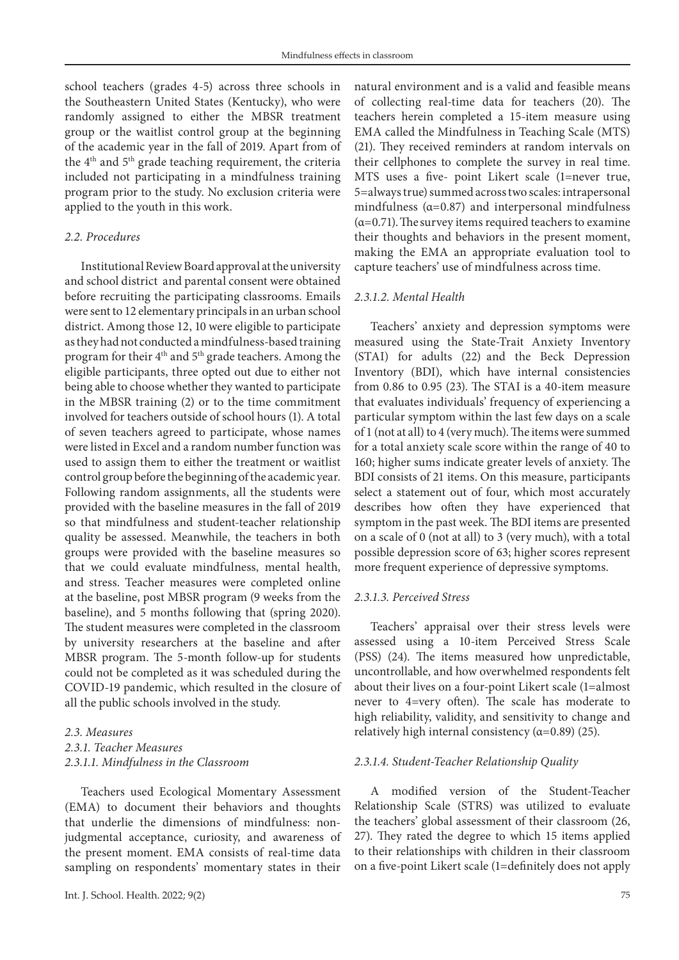school teachers (grades 4-5) across three schools in the Southeastern United States (Kentucky), who were randomly assigned to either the MBSR treatment group or the waitlist control group at the beginning of the academic year in the fall of 2019. Apart from of the 4th and 5th grade teaching requirement, the criteria included not participating in a mindfulness training program prior to the study. No exclusion criteria were applied to the youth in this work.

#### *2.2. Procedures*

Institutional Review Board approval at the university and school district and parental consent were obtained before recruiting the participating classrooms. Emails were sent to 12 elementary principals in an urban school district. Among those 12, 10 were eligible to participate as they had not conducted a mindfulness-based training program for their 4th and 5th grade teachers. Among the eligible participants, three opted out due to either not being able to choose whether they wanted to participate in the MBSR training (2) or to the time commitment involved for teachers outside of school hours (1). A total of seven teachers agreed to participate, whose names were listed in Excel and a random number function was used to assign them to either the treatment or waitlist control group before the beginning of the academic year. Following random assignments, all the students were provided with the baseline measures in the fall of 2019 so that mindfulness and student-teacher relationship quality be assessed. Meanwhile, the teachers in both groups were provided with the baseline measures so that we could evaluate mindfulness, mental health, and stress. Teacher measures were completed online at the baseline, post MBSR program (9 weeks from the baseline), and 5 months following that (spring 2020). The student measures were completed in the classroom by university researchers at the baseline and after MBSR program. The 5-month follow-up for students could not be completed as it was scheduled during the COVID-19 pandemic, which resulted in the closure of all the public schools involved in the study.

# *2.3. Measures 2.3.1. Teacher Measures 2.3.1.1. Mindfulness in the Classroom*

Teachers used Ecological Momentary Assessment (EMA) to document their behaviors and thoughts that underlie the dimensions of mindfulness: nonjudgmental acceptance, curiosity, and awareness of the present moment. EMA consists of real-time data sampling on respondents' momentary states in their

natural environment and is a valid and feasible means of collecting real-time data for teachers (20). The teachers herein completed a 15-item measure using EMA called the Mindfulness in Teaching Scale (MTS) (21). They received reminders at random intervals on their cellphones to complete the survey in real time. MTS uses a five- point Likert scale (1=never true, 5=always true) summed across two scales: intrapersonal mindfulness ( $\alpha$ =0.87) and interpersonal mindfulness  $(\alpha=0.71)$ . The survey items required teachers to examine their thoughts and behaviors in the present moment, making the EMA an appropriate evaluation tool to capture teachers' use of mindfulness across time.

#### *2.3.1.2. Mental Health*

Teachers' anxiety and depression symptoms were measured using the State-Trait Anxiety Inventory (STAI) for adults (22) and the Beck Depression Inventory (BDI), which have internal consistencies from 0.86 to 0.95 (23). The STAI is a 40-item measure that evaluates individuals' frequency of experiencing a particular symptom within the last few days on a scale of 1 (not at all) to 4 (very much). The items were summed for a total anxiety scale score within the range of 40 to 160; higher sums indicate greater levels of anxiety. The BDI consists of 21 items. On this measure, participants select a statement out of four, which most accurately describes how often they have experienced that symptom in the past week. The BDI items are presented on a scale of 0 (not at all) to 3 (very much), with a total possible depression score of 63; higher scores represent more frequent experience of depressive symptoms.

#### *2.3.1.3. Perceived Stress*

Teachers' appraisal over their stress levels were assessed using a 10-item Perceived Stress Scale (PSS) (24). The items measured how unpredictable, uncontrollable, and how overwhelmed respondents felt about their lives on a four-point Likert scale (1=almost never to 4=very often). The scale has moderate to high reliability, validity, and sensitivity to change and relatively high internal consistency  $(\alpha=0.89)$  (25).

#### *2.3.1.4. Student-Teacher Relationship Quality*

A modified version of the Student-Teacher Relationship Scale (STRS) was utilized to evaluate the teachers' global assessment of their classroom (26, 27). They rated the degree to which 15 items applied to their relationships with children in their classroom on a five-point Likert scale (1=definitely does not apply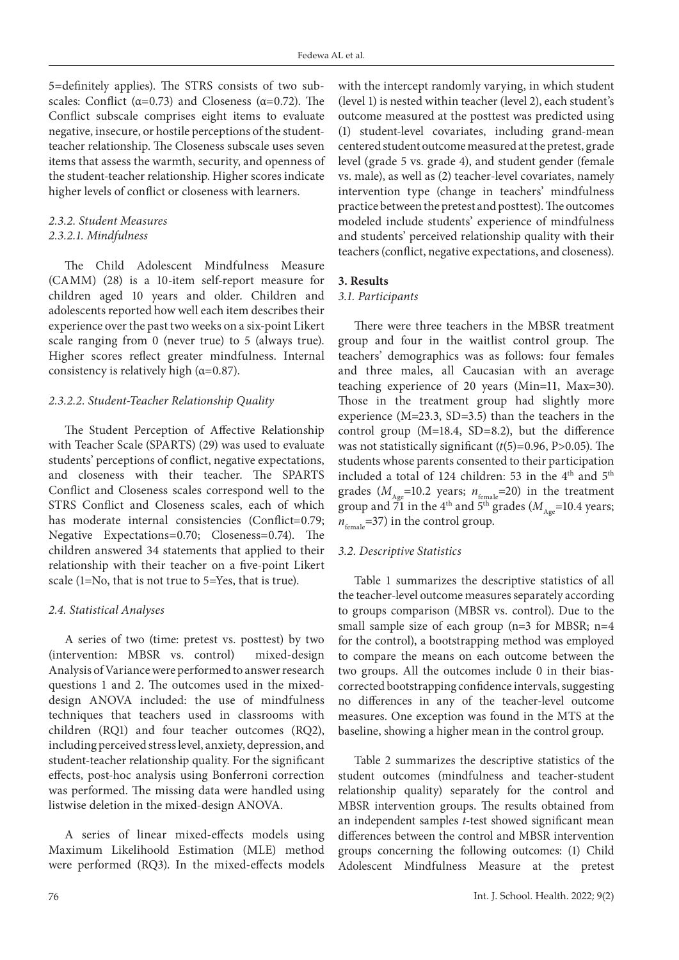5=definitely applies). The STRS consists of two subscales: Conflict ( $\alpha$ =0.73) and Closeness ( $\alpha$ =0.72). The Conflict subscale comprises eight items to evaluate negative, insecure, or hostile perceptions of the studentteacher relationship. The Closeness subscale uses seven items that assess the warmth, security, and openness of the student-teacher relationship. Higher scores indicate higher levels of conflict or closeness with learners.

## *2.3.2. Student Measures 2.3.2.1. Mindfulness*

The Child Adolescent Mindfulness Measure (CAMM) (28) is a 10-item self-report measure for children aged 10 years and older. Children and adolescents reported how well each item describes their experience over the past two weeks on a six-point Likert scale ranging from 0 (never true) to 5 (always true). Higher scores reflect greater mindfulness. Internal consistency is relatively high ( $\alpha$ =0.87).

# *2.3.2.2. Student-Teacher Relationship Quality*

The Student Perception of Affective Relationship with Teacher Scale (SPARTS) (29) was used to evaluate students' perceptions of conflict, negative expectations, and closeness with their teacher. The SPARTS Conflict and Closeness scales correspond well to the STRS Conflict and Closeness scales, each of which has moderate internal consistencies (Conflict=0.79; Negative Expectations=0.70; Closeness=0.74). The children answered 34 statements that applied to their relationship with their teacher on a five-point Likert scale (1=No, that is not true to 5=Yes, that is true).

# *2.4. Statistical Analyses*

A series of two (time: pretest vs. posttest) by two (intervention: MBSR vs. control) mixed-design Analysis of Variance were performed to answer research questions 1 and 2. The outcomes used in the mixeddesign ANOVA included: the use of mindfulness techniques that teachers used in classrooms with children (RQ1) and four teacher outcomes (RQ2), including perceived stress level, anxiety, depression, and student-teacher relationship quality. For the significant effects, post-hoc analysis using Bonferroni correction was performed. The missing data were handled using listwise deletion in the mixed-design ANOVA.

A series of linear mixed-effects models using Maximum Likelihoold Estimation (MLE) method were performed (RQ3). In the mixed-effects models

with the intercept randomly varying, in which student (level 1) is nested within teacher (level 2), each student's outcome measured at the posttest was predicted using (1) student-level covariates, including grand-mean centered student outcome measured at the pretest, grade level (grade 5 vs. grade 4), and student gender (female vs. male), as well as (2) teacher-level covariates, namely intervention type (change in teachers' mindfulness practice between the pretest and posttest). The outcomes modeled include students' experience of mindfulness and students' perceived relationship quality with their teachers (conflict, negative expectations, and closeness).

# **3. Results**

## *3.1. Participants*

There were three teachers in the MBSR treatment group and four in the waitlist control group. The teachers' demographics was as follows: four females and three males, all Caucasian with an average teaching experience of 20 years (Min=11, Max=30). Those in the treatment group had slightly more experience (M=23.3, SD=3.5) than the teachers in the control group (M=18.4, SD=8.2), but the difference was not statistically significant (*t*(5)=0.96, P>0.05). The students whose parents consented to their participation included a total of 124 children: 53 in the 4<sup>th</sup> and 5<sup>th</sup> grades ( $M_{\text{Age}}$ =10.2 years;  $n_{\text{female}}$ =20) in the treatment group and  $\overline{71}$  in the 4<sup>th</sup> and  $\overline{5}^{\text{th}}$  grades ( $M_{A_{\text{age}}}=10.4$  years;  $n_{\text{female}}$ =37) in the control group.

# *3.2. Descriptive Statistics*

Table 1 summarizes the descriptive statistics of all the teacher-level outcome measures separately according to groups comparison (MBSR vs. control). Due to the small sample size of each group (n=3 for MBSR; n=4 for the control), a bootstrapping method was employed to compare the means on each outcome between the two groups. All the outcomes include 0 in their biascorrected bootstrapping confidence intervals, suggesting no differences in any of the teacher-level outcome measures. One exception was found in the MTS at the baseline, showing a higher mean in the control group.

Table 2 summarizes the descriptive statistics of the student outcomes (mindfulness and teacher-student relationship quality) separately for the control and MBSR intervention groups. The results obtained from an independent samples *t*-test showed significant mean differences between the control and MBSR intervention groups concerning the following outcomes: (1) Child Adolescent Mindfulness Measure at the pretest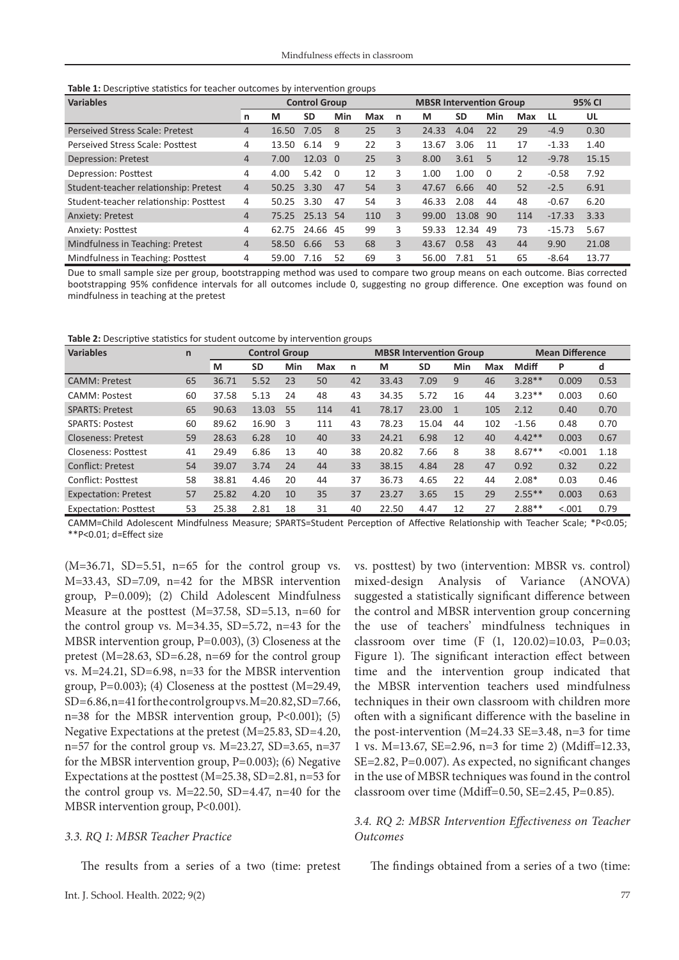| Table 1: Descriptive statistics for teacher outcomes by intervention groups |  |  |  |
|-----------------------------------------------------------------------------|--|--|--|
|-----------------------------------------------------------------------------|--|--|--|

| <b>Variables</b>                       | <b>Control Group</b> |            |           |          |     |                | <b>MBSR Intervention Group</b> |           |          |                |          | 95% CI |  |
|----------------------------------------|----------------------|------------|-----------|----------|-----|----------------|--------------------------------|-----------|----------|----------------|----------|--------|--|
|                                        | n                    | M          | <b>SD</b> | Min      | Max | n              | М                              | <b>SD</b> | Min      | Max            | LL.      | UL     |  |
| <b>Perseived Stress Scale: Pretest</b> | $\overline{4}$       | 16.50      | 7.05      | 8        | 25  | 3              | 24.33                          | 4.04      | 22       | 29             | $-4.9$   | 0.30   |  |
| Perseived Stress Scale: Posttest       | 4                    | 13.50      | 6.14      | 9        | 22  | 3              | 13.67                          | 3.06      | 11       | 17             | $-1.33$  | 1.40   |  |
| <b>Depression: Pretest</b>             | 4                    | 7.00       | 12.03 0   |          | 25  | $\overline{3}$ | 8.00                           | 3.61      | 5        | 12             | $-9.78$  | 15.15  |  |
| Depression: Posttest                   | 4                    | 4.00       | 5.42      | $\Omega$ | 12  | 3              | 1.00                           | 1.00      | $\Omega$ | $\overline{2}$ | $-0.58$  | 7.92   |  |
| Student-teacher relationship: Pretest  | $\overline{4}$       | 50.25      | 3.30      | 47       | 54  | $\overline{3}$ | 47.67                          | 6.66      | 40       | 52             | $-2.5$   | 6.91   |  |
| Student-teacher relationship: Posttest | 4                    | 50.25 3.30 |           | 47       | 54  | 3              | 46.33                          | 2.08      | 44       | 48             | $-0.67$  | 6.20   |  |
| <b>Anxiety: Pretest</b>                | $\overline{4}$       | 75.25      | 25.13 54  |          | 110 | 3              | 99.00                          | 13.08     | 90       | 114            | $-17.33$ | 3.33   |  |
| Anxiety: Posttest                      | 4                    | 62.75      | 24.66 45  |          | 99  | 3              | 59.33                          | 12.34     | 49       | 73             | $-15.73$ | 5.67   |  |
| Mindfulness in Teaching: Pretest       | $\overline{4}$       | 58.50      | 6.66      | 53       | 68  | $\overline{3}$ | 43.67                          | 0.58      | 43       | 44             | 9.90     | 21.08  |  |
| Mindfulness in Teaching: Posttest      | 4                    | 59.00      | 7.16      | 52       | 69  | 3              | 56.00                          | 7.81      | 51       | 65             | $-8.64$  | 13.77  |  |

Due to small sample size per group, bootstrapping method was used to compare two group means on each outcome. Bias corrected bootstrapping 95% confidence intervals for all outcomes include 0, suggesting no group difference. One exception was found on mindfulness in teaching at the pretest

**Table 2:** Descriptive statistics for student outcome by intervention groups

| <b>Variables</b>             | $\mathsf{n}$ | <b>Control Group</b> |       |     |     |    | <b>MBSR Intervention Group</b> |           |     | <b>Mean Difference</b> |              |         |      |
|------------------------------|--------------|----------------------|-------|-----|-----|----|--------------------------------|-----------|-----|------------------------|--------------|---------|------|
|                              |              | М                    | SD    | Min | Max | n  | М                              | <b>SD</b> | Min | Max                    | <b>Mdiff</b> | P       | d    |
| <b>CAMM</b> : Pretest        | 65           | 36.71                | 5.52  | 23  | 50  | 42 | 33.43                          | 7.09      | 9   | 46                     | $3.28**$     | 0.009   | 0.53 |
| <b>CAMM</b> : Postest        | 60           | 37.58                | 5.13  | 24  | 48  | 43 | 34.35                          | 5.72      | 16  | 44                     | $3.23**$     | 0.003   | 0.60 |
| <b>SPARTS: Pretest</b>       | 65           | 90.63                | 13.03 | 55  | 114 | 41 | 78.17                          | 23.00     |     | 105                    | 2.12         | 0.40    | 0.70 |
| <b>SPARTS: Postest</b>       | 60           | 89.62                | 16.90 | 3   | 111 | 43 | 78.23                          | 15.04     | 44  | 102                    | $-1.56$      | 0.48    | 0.70 |
| <b>Closeness: Pretest</b>    | 59           | 28.63                | 6.28  | 10  | 40  | 33 | 24.21                          | 6.98      | 12  | 40                     | $4.42**$     | 0.003   | 0.67 |
| <b>Closeness: Posttest</b>   | 41           | 29.49                | 6.86  | 13  | 40  | 38 | 20.82                          | 7.66      | 8   | 38                     | $8.67**$     | < 0.001 | 1.18 |
| Conflict: Pretest            | 54           | 39.07                | 3.74  | 24  | 44  | 33 | 38.15                          | 4.84      | 28  | 47                     | 0.92         | 0.32    | 0.22 |
| Conflict: Posttest           | 58           | 38.81                | 4.46  | 20  | 44  | 37 | 36.73                          | 4.65      | 22  | 44                     | $2.08*$      | 0.03    | 0.46 |
| <b>Expectation: Pretest</b>  | 57           | 25.82                | 4.20  | 10  | 35  | 37 | 23.27                          | 3.65      | 15  | 29                     | $2.55***$    | 0.003   | 0.63 |
| <b>Expectation: Posttest</b> | 53           | 25.38                | 2.81  | 18  | 31  | 40 | 22.50                          | 4.47      | 12  | 27                     | $2.88**$     | < 0.001 | 0.79 |

CAMM=Child Adolescent Mindfulness Measure; SPARTS=Student Perception of Affective Relationship with Teacher Scale; \*P<0.05; \*\*P<0.01; d=Effect size

 $(M=36.71, SD=5.51, n=65$  for the control group vs. M=33.43, SD=7.09, n=42 for the MBSR intervention group, P=0.009); (2) Child Adolescent Mindfulness Measure at the posttest (M=37.58, SD=5.13, n=60 for the control group vs. M=34.35, SD=5.72, n=43 for the MBSR intervention group, P=0.003), (3) Closeness at the pretest  $(M=28.63, SD=6.28, n=69$  for the control group vs. M=24.21, SD=6.98, n=33 for the MBSR intervention group, P=0.003); (4) Closeness at the posttest (M=29.49, SD=6.86, n=41 for the control group vs. M=20.82, SD=7.66, n=38 for the MBSR intervention group, P<0.001); (5) Negative Expectations at the pretest (M=25.83, SD=4.20,  $n=57$  for the control group vs. M=23.27, SD=3.65, n=37 for the MBSR intervention group,  $P=0.003$ ); (6) Negative Expectations at the posttest (M=25.38, SD=2.81, n=53 for the control group vs.  $M=22.50$ ,  $SD=4.47$ ,  $n=40$  for the MBSR intervention group,  $P<0.001$ ).

#### *3.3. RQ 1: MBSR Teacher Practice*

The results from a series of a two (time: pretest

vs. posttest) by two (intervention: MBSR vs. control) mixed-design Analysis of Variance (ANOVA) suggested a statistically significant difference between the control and MBSR intervention group concerning the use of teachers' mindfulness techniques in classroom over time (F (1, 120.02)=10.03, P=0.03; Figure 1). The significant interaction effect between time and the intervention group indicated that the MBSR intervention teachers used mindfulness techniques in their own classroom with children more often with a significant difference with the baseline in the post-intervention  $(M=24.33 \text{ SE}=3.48, n=3 \text{ for time}$ 1 vs. M=13.67, SE=2.96, n=3 for time 2) (Mdiff=12.33, SE=2.82, P=0.007). As expected, no significant changes in the use of MBSR techniques was found in the control classroom over time (Mdiff=0.50, SE=2.45, P=0.85).

#### *3.4. RQ 2: MBSR Intervention Effectiveness on Teacher Outcomes*

The findings obtained from a series of a two (time: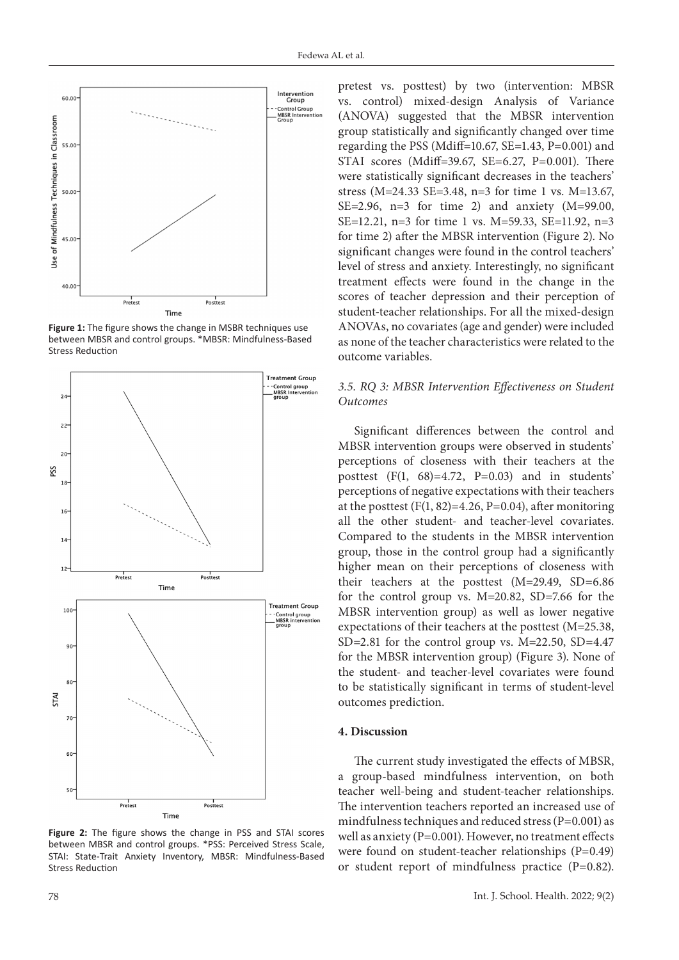

Figure 1: The figure shows the change in MSBR techniques use between MBSR and control groups. \*MBSR: Mindfulness-Based Stress Reduction



**Figure 2:** The figure shows the change in PSS and STAI scores between MBSR and control groups. \*PSS: Perceived Stress Scale, STAI: State-Trait Anxiety Inventory, MBSR: Mindfulness-Based Stress Reduction

pretest vs. posttest) by two (intervention: MBSR vs. control) mixed-design Analysis of Variance (ANOVA) suggested that the MBSR intervention group statistically and significantly changed over time regarding the PSS (Mdiff=10.67, SE=1.43, P=0.001) and STAI scores (Mdiff=39.67, SE=6.27, P=0.001). There were statistically significant decreases in the teachers' stress (M=24.33 SE=3.48, n=3 for time 1 vs. M=13.67, SE=2.96, n=3 for time 2) and anxiety  $(M=99.00,$ SE=12.21, n=3 for time 1 vs. M=59.33, SE=11.92, n=3 for time 2) after the MBSR intervention (Figure 2). No significant changes were found in the control teachers' level of stress and anxiety. Interestingly, no significant treatment effects were found in the change in the scores of teacher depression and their perception of student-teacher relationships. For all the mixed-design ANOVAs, no covariates (age and gender) were included as none of the teacher characteristics were related to the outcome variables.

# *3.5. RQ 3: MBSR Intervention Effectiveness on Student Outcomes*

Significant differences between the control and MBSR intervention groups were observed in students' perceptions of closeness with their teachers at the posttest  $(F(1, 68)=4.72, P=0.03)$  and in students' perceptions of negative expectations with their teachers at the posttest  $(F(1, 82)=4.26, P=0.04)$ , after monitoring all the other student- and teacher-level covariates. Compared to the students in the MBSR intervention group, those in the control group had a significantly higher mean on their perceptions of closeness with their teachers at the posttest (M=29.49, SD=6.86 for the control group vs. M=20.82, SD=7.66 for the MBSR intervention group) as well as lower negative expectations of their teachers at the posttest (M=25.38, SD=2.81 for the control group vs. M=22.50, SD=4.47 for the MBSR intervention group) (Figure 3). None of the student- and teacher-level covariates were found to be statistically significant in terms of student-level outcomes prediction.

#### **4. Discussion**

The current study investigated the effects of MBSR, a group-based mindfulness intervention, on both teacher well-being and student-teacher relationships. The intervention teachers reported an increased use of mindfulness techniques and reduced stress (P=0.001) as well as anxiety (P=0.001). However, no treatment effects were found on student-teacher relationships (P=0.49) or student report of mindfulness practice (P=0.82).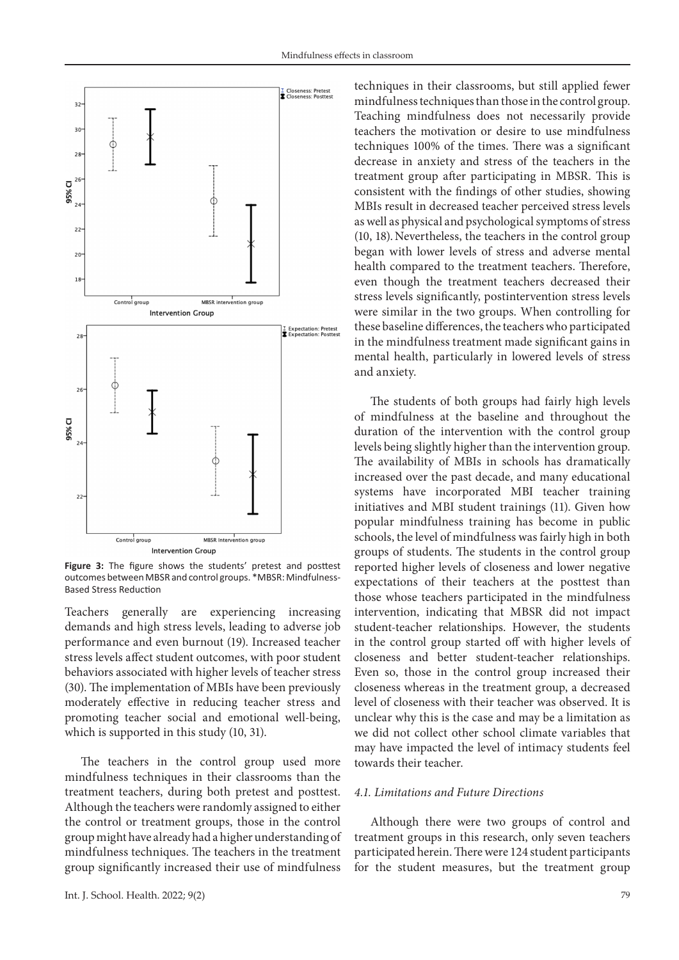

Figure 3: The figure shows the students' pretest and posttest outcomes between MBSR and control groups. \*MBSR: Mindfulness-Based Stress Reduction

Teachers generally are experiencing increasing demands and high stress levels, leading to adverse job performance and even burnout (19). Increased teacher stress levels affect student outcomes, with poor student behaviors associated with higher levels of teacher stress (30). The implementation of MBIs have been previously moderately effective in reducing teacher stress and promoting teacher social and emotional well-being, which is supported in this study  $(10, 31)$ .

The teachers in the control group used more mindfulness techniques in their classrooms than the treatment teachers, during both pretest and posttest. Although the teachers were randomly assigned to either the control or treatment groups, those in the control group might have already had a higher understanding of mindfulness techniques. The teachers in the treatment group significantly increased their use of mindfulness

techniques in their classrooms, but still applied fewer mindfulness techniques than those in the control group. Teaching mindfulness does not necessarily provide teachers the motivation or desire to use mindfulness techniques 100% of the times. There was a significant decrease in anxiety and stress of the teachers in the treatment group after participating in MBSR. This is consistent with the findings of other studies, showing MBIs result in decreased teacher perceived stress levels as well as physical and psychological symptoms of stress (10, 18).Nevertheless, the teachers in the control group began with lower levels of stress and adverse mental health compared to the treatment teachers. Therefore, even though the treatment teachers decreased their stress levels significantly, postintervention stress levels were similar in the two groups. When controlling for these baseline differences, the teachers who participated in the mindfulness treatment made significant gains in mental health, particularly in lowered levels of stress and anxiety.

The students of both groups had fairly high levels of mindfulness at the baseline and throughout the duration of the intervention with the control group levels being slightly higher than the intervention group. The availability of MBIs in schools has dramatically increased over the past decade, and many educational systems have incorporated MBI teacher training initiatives and MBI student trainings (11). Given how popular mindfulness training has become in public schools, the level of mindfulness was fairly high in both groups of students. The students in the control group reported higher levels of closeness and lower negative expectations of their teachers at the posttest than those whose teachers participated in the mindfulness intervention, indicating that MBSR did not impact student-teacher relationships. However, the students in the control group started off with higher levels of closeness and better student-teacher relationships. Even so, those in the control group increased their closeness whereas in the treatment group, a decreased level of closeness with their teacher was observed. It is unclear why this is the case and may be a limitation as we did not collect other school climate variables that may have impacted the level of intimacy students feel towards their teacher.

#### *4.1. Limitations and Future Directions*

Although there were two groups of control and treatment groups in this research, only seven teachers participated herein. There were 124 student participants for the student measures, but the treatment group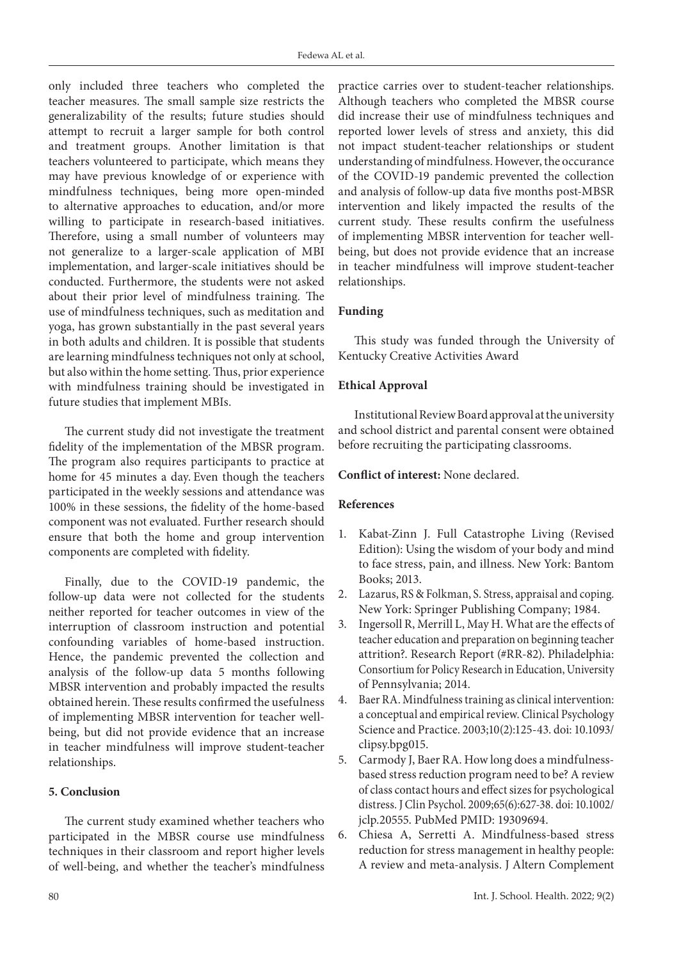only included three teachers who completed the teacher measures. The small sample size restricts the generalizability of the results; future studies should attempt to recruit a larger sample for both control and treatment groups. Another limitation is that teachers volunteered to participate, which means they may have previous knowledge of or experience with mindfulness techniques, being more open-minded to alternative approaches to education, and/or more willing to participate in research-based initiatives. Therefore, using a small number of volunteers may not generalize to a larger-scale application of MBI implementation, and larger-scale initiatives should be conducted. Furthermore, the students were not asked about their prior level of mindfulness training. The use of mindfulness techniques, such as meditation and yoga, has grown substantially in the past several years in both adults and children. It is possible that students are learning mindfulness techniques not only at school, but also within the home setting. Thus, prior experience with mindfulness training should be investigated in future studies that implement MBIs.

The current study did not investigate the treatment fidelity of the implementation of the MBSR program. The program also requires participants to practice at home for 45 minutes a day. Even though the teachers participated in the weekly sessions and attendance was 100% in these sessions, the fidelity of the home-based component was not evaluated. Further research should ensure that both the home and group intervention components are completed with fidelity.

Finally, due to the COVID-19 pandemic, the follow-up data were not collected for the students neither reported for teacher outcomes in view of the interruption of classroom instruction and potential confounding variables of home-based instruction. Hence, the pandemic prevented the collection and analysis of the follow-up data 5 months following MBSR intervention and probably impacted the results obtained herein. These results confirmed the usefulness of implementing MBSR intervention for teacher wellbeing, but did not provide evidence that an increase in teacher mindfulness will improve student-teacher relationships.

# **5. Conclusion**

The current study examined whether teachers who participated in the MBSR course use mindfulness techniques in their classroom and report higher levels of well-being, and whether the teacher's mindfulness practice carries over to student-teacher relationships. Although teachers who completed the MBSR course did increase their use of mindfulness techniques and reported lower levels of stress and anxiety, this did not impact student-teacher relationships or student understanding of mindfulness. However, the occurance of the COVID-19 pandemic prevented the collection and analysis of follow-up data five months post-MBSR intervention and likely impacted the results of the current study. These results confirm the usefulness of implementing MBSR intervention for teacher wellbeing, but does not provide evidence that an increase in teacher mindfulness will improve student-teacher relationships.

## **Funding**

This study was funded through the University of Kentucky Creative Activities Award

## **Ethical Approval**

Institutional Review Board approval at the university and school district and parental consent were obtained before recruiting the participating classrooms.

# **Conflict of interest:** None declared.

#### **References**

- 1. Kabat-Zinn J. Full Catastrophe Living (Revised Edition): Using the wisdom of your body and mind to face stress, pain, and illness. New York: Bantom Books; 2013.
- 2. Lazarus, RS & Folkman, S. Stress, appraisal and coping. New York: Springer Publishing Company; 1984.
- 3. Ingersoll R, Merrill L, May H. What are the effects of teacher education and preparation on beginning teacher attrition?. Research Report (#RR-82). Philadelphia: Consortium for Policy Research in Education, University of Pennsylvania; 2014.
- 4. Baer RA. Mindfulness training as clinical intervention: a conceptual and empirical review. Clinical Psychology Science and Practice. 2003;10(2):125-43. doi: 10.1093/ clipsy.bpg015.
- 5. Carmody J, Baer RA. How long does a mindfulnessbased stress reduction program need to be? A review of class contact hours and effect sizes for psychological distress. J Clin Psychol. 2009;65(6):627-38. doi: 10.1002/ jclp.20555. PubMed PMID: 19309694.
- 6. Chiesa A, Serretti A. Mindfulness-based stress reduction for stress management in healthy people: A review and meta-analysis. J Altern Complement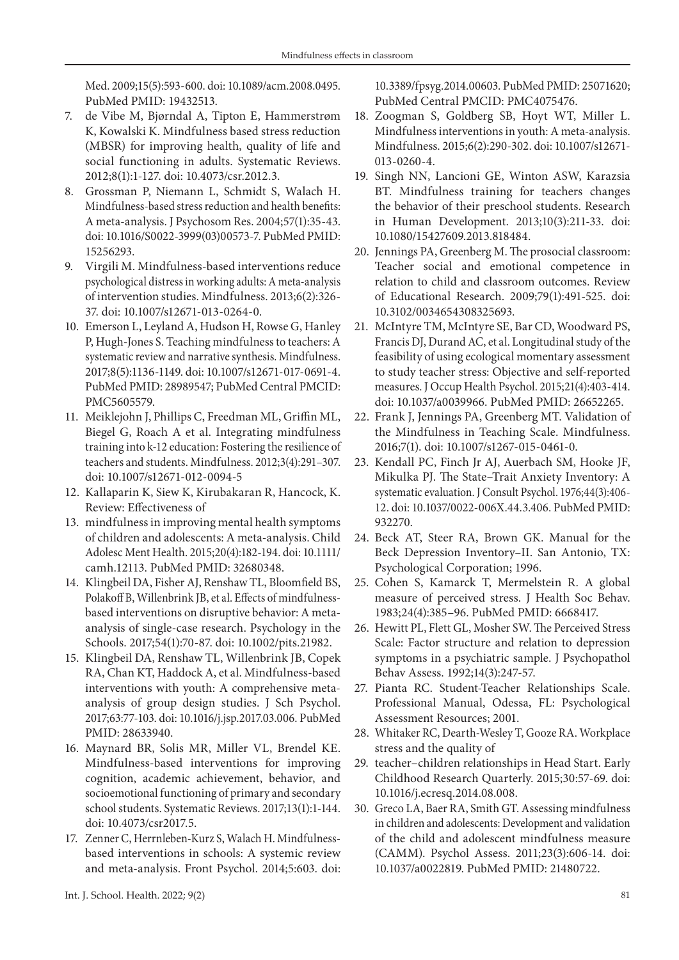Med. 2009;15(5):593-600. doi: 10.1089/acm.2008.0495. PubMed PMID: 19432513.

- 7. de Vibe M, Bjørndal A, Tipton E, Hammerstrøm K, Kowalski K. Mindfulness based stress reduction (MBSR) for improving health, quality of life and social functioning in adults. Systematic Reviews. 2012;8(1):1-127. doi: 10.4073/csr.2012.3.
- 8. Grossman P, Niemann L, Schmidt S, Walach H. Mindfulness-based stress reduction and health benefits: A meta-analysis. J Psychosom Res. 2004;57(1):35-43. doi: 10.1016/S0022-3999(03)00573-7. PubMed PMID: 15256293.
- 9. Virgili M. Mindfulness-based interventions reduce psychological distress in working adults: A meta-analysis of intervention studies. Mindfulness. 2013;6(2):326- 37. doi: 10.1007/s12671-013-0264-0.
- 10. Emerson L, Leyland A, Hudson H, Rowse G, Hanley P, Hugh-Jones S. Teaching mindfulness to teachers: A systematic review and narrative synthesis. Mindfulness. 2017;8(5):1136-1149. doi: 10.1007/s12671-017-0691-4. PubMed PMID: 28989547; PubMed Central PMCID: PMC5605579.
- 11. Meiklejohn J, Phillips C, Freedman ML, Griffin ML, Biegel G, Roach A et al. Integrating mindfulness training into k-12 education: Fostering the resilience of teachers and students. Mindfulness. 2012;3(4):291–307. doi: 10.1007/s12671-012-0094-5
- 12. Kallaparin K, Siew K, Kirubakaran R, Hancock, K. Review: Effectiveness of
- 13. mindfulness in improving mental health symptoms of children and adolescents: A meta-analysis. Child Adolesc Ment Health. 2015;20(4):182-194. doi: 10.1111/ camh.12113. PubMed PMID: 32680348.
- 14. Klingbeil DA, Fisher AJ, Renshaw TL, Bloomfield BS, Polakoff B, Willenbrink JB, et al. Effects of mindfulnessbased interventions on disruptive behavior: A metaanalysis of single-case research. Psychology in the Schools. 2017;54(1):70-87. doi: 10.1002/pits.21982.
- 15. Klingbeil DA, Renshaw TL, Willenbrink JB, Copek RA, Chan KT, Haddock A, et al. Mindfulness-based interventions with youth: A comprehensive metaanalysis of group design studies. J Sch Psychol. 2017;63:77-103. doi: 10.1016/j.jsp.2017.03.006. PubMed PMID: 28633940.
- 16. Maynard BR, Solis MR, Miller VL, Brendel KE. Mindfulness-based interventions for improving cognition, academic achievement, behavior, and socioemotional functioning of primary and secondary school students. Systematic Reviews. 2017;13(1):1-144. doi: 10.4073/csr2017.5.
- 17. Zenner C, Herrnleben-Kurz S, Walach H. Mindfulnessbased interventions in schools: A systemic review and meta-analysis. Front Psychol. 2014;5:603. doi:

10.3389/fpsyg.2014.00603. PubMed PMID: 25071620; PubMed Central PMCID: PMC4075476.

- 18. Zoogman S, Goldberg SB, Hoyt WT, Miller L. Mindfulness interventions in youth: A meta-analysis. Mindfulness. 2015;6(2):290-302. doi: 10.1007/s12671- 013-0260-4.
- 19. Singh NN, Lancioni GE, Winton ASW, Karazsia BT. Mindfulness training for teachers changes the behavior of their preschool students. Research in Human Development. 2013;10(3):211-33. doi: 10.1080/15427609.2013.818484.
- 20. Jennings PA, Greenberg M. The prosocial classroom: Teacher social and emotional competence in relation to child and classroom outcomes. Review of Educational Research. 2009;79(1):491-525. doi: 10.3102/0034654308325693.
- 21. McIntyre TM, McIntyre SE, Bar CD, Woodward PS, Francis DJ, Durand AC, et al. Longitudinal study of the feasibility of using ecological momentary assessment to study teacher stress: Objective and self-reported measures. J Occup Health Psychol. 2015;21(4):403-414. doi: 10.1037/a0039966. PubMed PMID: 26652265.
- 22. Frank J, Jennings PA, Greenberg MT. Validation of the Mindfulness in Teaching Scale. Mindfulness. 2016;7(1). doi: 10.1007/s1267-015-0461-0.
- 23. Kendall PC, Finch Jr AJ, Auerbach SM, Hooke JF, Mikulka PJ. The State–Trait Anxiety Inventory: A systematic evaluation. J Consult Psychol. 1976;44(3):406- 12. doi: 10.1037/0022-006X.44.3.406. PubMed PMID: 932270.
- 24. Beck AT, Steer RA, Brown GK. Manual for the Beck Depression Inventory–II. San Antonio, TX: Psychological Corporation; 1996.
- 25. Cohen S, Kamarck T, Mermelstein R. A global measure of perceived stress. J Health Soc Behav. 1983;24(4):385–96. PubMed PMID: 6668417.
- 26. Hewitt PL, Flett GL, Mosher SW. The Perceived Stress Scale: Factor structure and relation to depression symptoms in a psychiatric sample. J Psychopathol Behav Assess. 1992;14(3):247-57.
- 27. Pianta RC. Student-Teacher Relationships Scale. Professional Manual, Odessa, FL: Psychological Assessment Resources; 2001.
- 28. Whitaker RC, Dearth-Wesley T, Gooze RA. Workplace stress and the quality of
- 29. teacher–children relationships in Head Start. Early Childhood Research Quarterly. 2015;30:57-69. doi: 10.1016/j.ecresq.2014.08.008.
- 30. Greco LA, Baer RA, Smith GT. Assessing mindfulness in children and adolescents: Development and validation of the child and adolescent mindfulness measure (CAMM). Psychol Assess. 2011;23(3):606-14. doi: 10.1037/a0022819. PubMed PMID: 21480722.